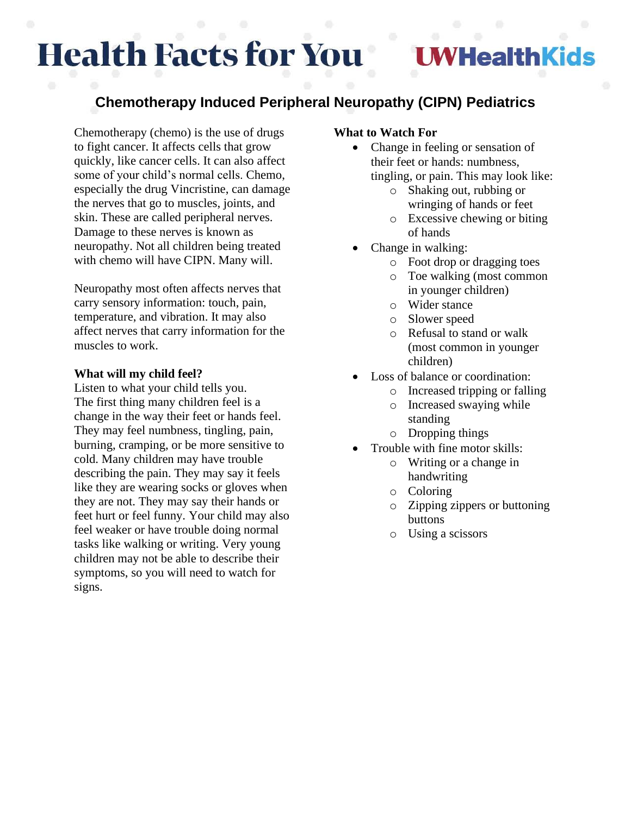# **Health Facts for You**

## WHealthKids

### **Chemotherapy Induced Peripheral Neuropathy (CIPN) Pediatrics**

Chemotherapy (chemo) is the use of drugs to fight cancer. It affects cells that grow quickly, like cancer cells. It can also affect some of your child's normal cells. Chemo, especially the drug Vincristine, can damage the nerves that go to muscles, joints, and skin. These are called peripheral nerves. Damage to these nerves is known as neuropathy. Not all children being treated with chemo will have CIPN. Many will.

Neuropathy most often affects nerves that carry sensory information: touch, pain, temperature, and vibration. It may also affect nerves that carry information for the muscles to work.

#### **What will my child feel?**

Listen to what your child tells you. The first thing many children feel is a change in the way their feet or hands feel. They may feel numbness, tingling, pain, burning, cramping, or be more sensitive to cold. Many children may have trouble describing the pain. They may say it feels like they are wearing socks or gloves when they are not. They may say their hands or feet hurt or feel funny. Your child may also feel weaker or have trouble doing normal tasks like walking or writing. Very young children may not be able to describe their symptoms, so you will need to watch for signs.

#### **What to Watch For**

- Change in feeling or sensation of their feet or hands: numbness, tingling, or pain. This may look like:
	- o Shaking out, rubbing or wringing of hands or feet
	- o Excessive chewing or biting of hands
- Change in walking:
	- o Foot drop or dragging toes
	- o Toe walking (most common in younger children)
	- o Wider stance
	- o Slower speed
	- o Refusal to stand or walk (most common in younger children)
- Loss of balance or coordination:
	- o Increased tripping or falling
	- o Increased swaying while standing
	- o Dropping things
- Trouble with fine motor skills:
	- o Writing or a change in handwriting
	- o Coloring
	- o Zipping zippers or buttoning buttons
	- o Using a scissors